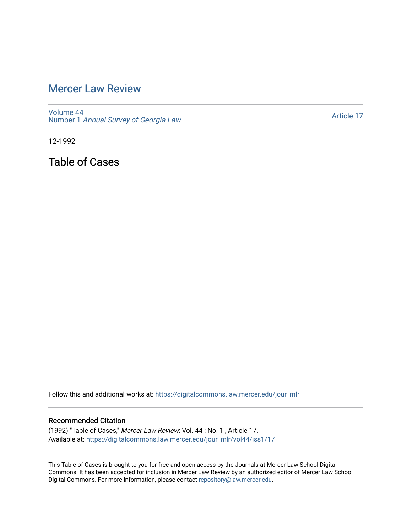## [Mercer Law Review](https://digitalcommons.law.mercer.edu/jour_mlr)

[Volume 44](https://digitalcommons.law.mercer.edu/jour_mlr/vol44) Number 1 [Annual Survey of Georgia Law](https://digitalcommons.law.mercer.edu/jour_mlr/vol44/iss1) 

[Article 17](https://digitalcommons.law.mercer.edu/jour_mlr/vol44/iss1/17) 

12-1992

Table of Cases

Follow this and additional works at: [https://digitalcommons.law.mercer.edu/jour\\_mlr](https://digitalcommons.law.mercer.edu/jour_mlr?utm_source=digitalcommons.law.mercer.edu%2Fjour_mlr%2Fvol44%2Fiss1%2F17&utm_medium=PDF&utm_campaign=PDFCoverPages)

## Recommended Citation

(1992) "Table of Cases," Mercer Law Review: Vol. 44 : No. 1 , Article 17. Available at: [https://digitalcommons.law.mercer.edu/jour\\_mlr/vol44/iss1/17](https://digitalcommons.law.mercer.edu/jour_mlr/vol44/iss1/17?utm_source=digitalcommons.law.mercer.edu%2Fjour_mlr%2Fvol44%2Fiss1%2F17&utm_medium=PDF&utm_campaign=PDFCoverPages) 

This Table of Cases is brought to you for free and open access by the Journals at Mercer Law School Digital Commons. It has been accepted for inclusion in Mercer Law Review by an authorized editor of Mercer Law School Digital Commons. For more information, please contact [repository@law.mercer.edu](mailto:repository@law.mercer.edu).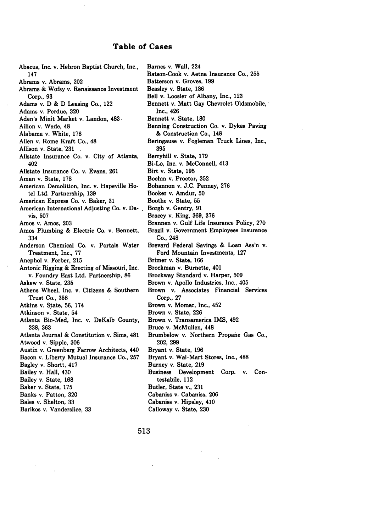## Table of Cases

 $\ddot{\phantom{a}}$ 

 $\bar{\gamma}$ 

 $\bar{z}$ 

 $\overline{\phantom{a}}$ 

 $\label{eq:2} \frac{1}{\sqrt{2}}\sum_{i=1}^n\frac{1}{\sqrt{2}}\sum_{i=1}^n\frac{1}{\sqrt{2}}\sum_{i=1}^n\frac{1}{\sqrt{2}}\sum_{i=1}^n\frac{1}{\sqrt{2}}\sum_{i=1}^n\frac{1}{\sqrt{2}}\sum_{i=1}^n\frac{1}{\sqrt{2}}\sum_{i=1}^n\frac{1}{\sqrt{2}}\sum_{i=1}^n\frac{1}{\sqrt{2}}\sum_{i=1}^n\frac{1}{\sqrt{2}}\sum_{i=1}^n\frac{1}{\sqrt{2}}\sum_{i=1}^n\frac{1$ 

| Abacus, Inc. v. Hebron Baptist Church, Inc., | Barnes v. Wall, 224                         |
|----------------------------------------------|---------------------------------------------|
| 147                                          | Batson-Cook v. Aetna Insurance Co., 255     |
| Abrams v. Abrams, 202                        | Batterson v. Groves, 199                    |
| Abrams & Wofsy v. Renaissance Investment     | Beasley v. State, 186                       |
| Corp., 93                                    | Bell v. Loosier of Albany, Inc., 123        |
| Adams v. D & D Leasing Co., 122              | Bennett v. Matt Gay Chevrolet Oldsmobile,   |
| Adams v. Perdue, 320                         | Inc., 426                                   |
| Aden's Minit Market v. Landon, 483.          | Bennett v. State, 180                       |
| Ailion v. Wade, 48                           | Benning Construction Co. v. Dykes Paving    |
| Alabama v. White, 176                        | & Construction Co., 148                     |
| Allen v. Rome Kraft Co., 48                  | Beringause v. Fogleman Truck Lines, Inc.,   |
| Allison v. State, 231                        | 395                                         |
| Allstate Insurance Co. v. City of Atlanta,   | Berryhill v. State, 179                     |
| 402                                          | Bi-Lo, Inc. v. McConnell, 413               |
| Allstate Insurance Co. v. Evans, 261         | Birt v. State, 195                          |
| Aman v. State, 178                           | Boehm v. Proctor, 352                       |
| American Demolition, Inc. v. Hapeville Ho-   | Bohannon v. J.C. Penney, 276                |
| tel Ltd. Partnership, 139                    | Booker v. Amdur, 50                         |
| American Express Co. v. Baker, 31            | Boothe v. State, 55                         |
| American International Adjusting Co. v. Da-  | Borgh v. Gentry, 91                         |
| vis, 507                                     | Bracey v. King, 369, 376                    |
| Amos v. Amos, 203                            | Brannen v. Gulf Life Insurance Policy, 270  |
| Amos Plumbing & Electric Co. v. Bennett,     | Brazil v. Government Employees Insurance    |
| 334                                          | Co., 248                                    |
| Anderson Chemical Co. v. Portals Water       | Brevard Federal Savings & Loan Ass'n v.     |
| Treatment, Inc., 77                          | Ford Mountain Investments, 127              |
| Anephol v. Ferber, 215                       | Brimer v. State, 166                        |
| Antonic Rigging & Erecting of Missouri, Inc. | Brockman v. Burnette, 401                   |
| v. Foundry East Ltd. Partnership, 86         | Brockway Standard v. Harper, 509            |
| Askew v. State, 235                          | Brown v. Apollo Industries, Inc., 405       |
| Athens Wheel, Inc. v. Citizens & Southern    | Brown v. Associates Financial Services      |
| Trust Co., 358                               | Corp., 27                                   |
| Atkins v. State, 56, 174                     | Brown v. Momar, Inc., 452                   |
| Atkinson v. State, 54                        | Brown v. State, 226                         |
| Atlanta Bio-Med, Inc. v. DeKalb County,      | Brown v. Transamerica IMS, 492              |
| 338, 363                                     | Bruce v. McMullen, 448                      |
| Atlanta Journal & Constitution v. Sims, 481  | Brumbelow v. Northern Propane Gas Co.,      |
| Atwood v. Sipple, 306                        | 202, 299                                    |
| Austin v. Greenberg Farrow Architects, 440   | Bryant v. State, 196                        |
| Bacon v. Liberty Mutual Insurance Co., 257   | Bryant v. Wal-Mart Stores, Inc., 488        |
| Bagley v. Shortt, 417                        | Burney v. State, 219                        |
| Bailey v. Hall, 430                          | Con-<br>Business Development<br>Corp.<br>v. |
| Bailey v. State, 168                         | testabile, 112                              |
| Baker v. State, 175                          | Butler, State v., 231                       |
| Banks v. Patton, 320                         | Cabaniss v. Cabaniss, 206                   |
| Bales v. Shelton, 33                         | Cabaniss v. Hipsley, 410                    |
| Barikos v. Vanderslice, 33                   | Calloway v. State, 230                      |
|                                              |                                             |

 $\ddot{\phantom{1}}$ 

 $\ddot{\phantom{0}}$ 

 $\bar{z}$ 

 $\overline{\phantom{a}}$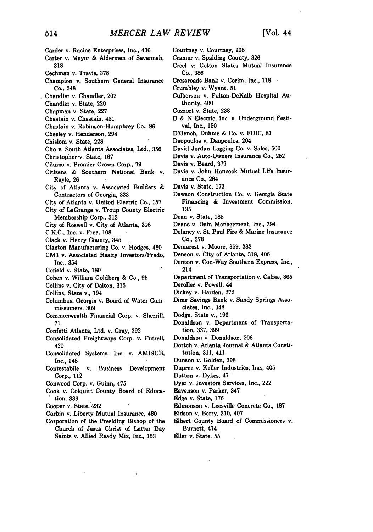Carder v. Racine Enterprises, Inc., 436 Carter v. Mayor & Aldermen of Savannah, **318** Cechman v. Travis, **378** Champion v. Southern General Insurance Co., 248 Chandler v. Chandler, 202 Chandler v. State, 220 Chapman v. State, **227** Chastain v. Chastain, 451 Chastain v. Robinson-Humphrey Co., **96** Cheeley v. Henderson, 294 Chislom v. State, **228** Cho v. South Atlanta Associates, Ltd., 356 Christopher-v. State, **167** Cilurso v. Premier Crown Corp., **79** Citizens & Southern National Bank v. Rayle, **26** City of Atlanta v. Associated Builders & Contractors of Georgia, **333** City of Atlanta v. United Electric Co., 157 City of LaGrange v. Troup County Electric Membership Corp., 313 City of Roswell v. City of Atlanta, 316 C.K.C., Inc. v. Free, 108 Clack v. Henry County, 345 Claxton Manufacturing Co. v. Hodges, 480 **CM3** v. Associated Realty Investors/Prado, Inc., 354 Cofield v. State, 180 Cohen v. William Goldberg & Co., **95** Collins v. City of Dalton, **315** Collins, State v., 194 Columbus, Georgia v. Board of Water Commissioners, **309** Commonwealth Financial Corp. v. Sherrill, 71 Confetti Atlanta, Ltd. v. Gray, **392** Consolidated Freightways Corp. v. Futrell, 420 Consolidated Systems, Inc. v. AMISUB, Inc., 148 Contestabile v. Business Development Corp., 112 Conwood Corp. v. Guinn, 475 Cook v. Colquitt County Board of Education, **333**

- Cooper v. State, **.232**
- Corbin v. Liberty Mutual Insurance, 480
- Corporation of the Presiding Bishop of the Church of Jesus Christ of Latter Day Saints v. Allied Ready Mix, Inc., 153

Courtney v. Courtney, **208**

- Cramer v. Spalding County, 326
- Creel v. Cotton States Mutual Insurance Co., **386**
- Crossroads Bank v. Corim, Inc., **118**
- Crumbley v. Wyant, **51**
- Culberson v. Fulton-DeKalb Hospital Authority, 400
- Cuzzort v. State, **238**
- **D** & **N** Electric, Inc. v. Underground Festival, Inc., **150**
- D'Oench, Duhme & Co. v. FDIC, **81**
- Daopoulos v. Daopoulos, 204
- David Jordan Logging Co. v. Sales, **500**
- Davis v. Auto-Owners Insurance Co.; **252**
- Davis v. Beard, **377**
- Davis v. John Hancock Mutual Life Insurance Co., 264
- Davis v. State, **173**
- Dawson Construction Co. v. Georgia State Financing & Investment Commission, **135**
- Dean v. State, **185**
- Deans v. Dain Management, Inc., 394
- Delancy v. St. Paul Fire & Marine Insurance Co., **378**
- Demarest v. Moore, **359, 382**
- Denson v. City of Atlanta, 318, 406
- Denton v. Con-Way Southern Express, Inc., 214
- Department of Transportation **v.** Calfee, **365**
- Deroller v. Powell, 44
- Dickey v. Harden, **272**
- Dime Savings Bank v. Sandy Springs Associates, Inc., 348
- Dodge, State v., **196**
- Donaldson v. Department of Transportation, **337, 399**
- Donaldson v. Donaldson, **206**
- Dortch v. Atlanta Journal & Atlanta Constitution, 311, 411
- Dunson v. Golden, **398**
- Dupree v. Keller Industries, Inc., 405
- Dutton v. Dykes, 47

Dyer v. Investors Services, Inc., 222

- Eavenson v. Parker, 347
- Edge v. State, **176**
- Edmonson v. Leesville Concrete Co., **187**
- Eidson **v.** Berry, **310,** 407
- Elbert County Board of Commissioners v. Burnett, 474
- Eller v. State, **55**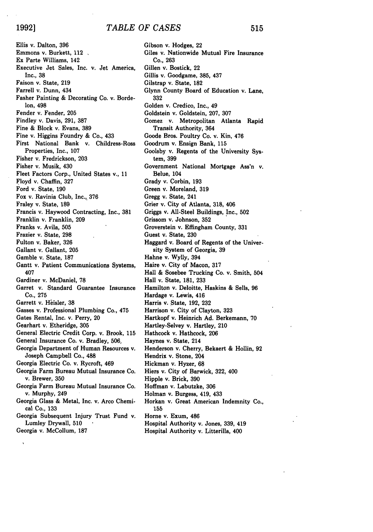$\ddot{\phantom{0}}$ 

Ellis v. Dalton, **396** Emmons v. Burkett, 112 Ex Parte Williams, 142 Executive Jet Sales, Inc. v. Jet America, Inc., **38** Faison v. State, **219** Farrell v. Dunn, 434 Fasher Painting & Decorating Co. v. Borde-Ion, 498 Fender v. Fender, **205** Findley v. Davis, **291,** 387 Fine & Block v. Evans, **389** Fine v. Higgins Foundry & Co., 433 First National Bank v. Childress-Ross Properties, Inc., 107 Fisher v. Fredrickson, **203** Fisher v. Musik, 430 Fleet Factors Corp., United States v., 11 Floyd v. Chaffin, **327** Ford v. State, **190** Fox v. Ravinia Club, Inc., **376** Fraley v. State, 189 Francis v. Haywood Contracting, Inc., **381** Franklin v. Franklin, **209** Franks v. Avila, 505 Frazier v. State, **298** Fulton v. Baker, **326** Gallant v. Gallant, **205** Gamble v. State, 187 Gantt v. Patient Communications Systems, 407 Gardiner v. McDaniel, **78** Garret v. Standard Guarantee Insurance Co., **275** Garrett v. Heisler, 38 Gasses v. Professional Plumbing Co., 475 Gates Rental, Inc. v. Perry, 20 Gearhart v. Etheridge, 305 General Electric Credit Corp. v. Brook, 115 General Insurance Co. v. Bradley, 506, Georgia Department of Human Resources v. Joseph Campbell Co., 488 Georgia Electric Co. v. Rycroft, 469 Georgia Farm Bureau Mutual Insurance Co. v. Brewer, **350** Georgia Farm Bureau Mutual Insurance Co. v. Murphy, 249 Georgia Glass & Metal, Inc. v. Arco Chemical Co., **133** Georgia Subsequent Injury Trust Fund v. Lumley Drywall, **510** Georgia v. McCollum, 187

Gibson v. Hodges, 22 Giles v. Nationwide Mutual Fire Insurance Co., **263** Gillen v. Bostick, 22 Gillis v. Goodgame, **385,** 437 Gilstrap v. State, **182** Glynn County Board of Education v. Lane, **332** Golden v. Credico, Inc., 49 Goldstein v. Goldstein, **207,** 307 Gomez v. Metropolitan Atlanta Rapid Transit Authority, 364 Goode Bros. Poultry Co. v. Kin, 476 Goodrum **v.** Ensign Bank, **115** Goolsby v. Regents of the University System, **399** Government National Mortgage Ass'n v. Belue, 104 Grady v. Corbin, **193** Green v. Moreland, **319** Gregg v. State, 241 Grier v. City of Atlanta, **318,** 406 Griggs v. All-Steel Buildings, Inc., **502** Grissom v. Johnson, **352** Groverstein **v.** Effingham County, **331** Guest v. State, **230** Haggard v. Board of Regents of the University System of Georgia, **39** Hahne v. Wylly, 394 Haire v. City of Macon, 317 Hall & Sosebee Trucking Co. v. Smith, 504 Hall v. State, 181, **233** Hamilton v. Deloitte, Haskins & Sells, **96** Hardage v. Lewis, 416 Harris v. State, **192, 232** Harrison v. City of Clayton, **323** Hartkopf v. Heinrich Ad. Berkemann, 70 Hartley-Selvey v. Hartley, 210 Hathcock v. Hathcock, **206** Haynes v. State, 214 Henderson v. Cherry, Bekaert & Hollin, **92** Hendrix v. Stone, **204** Hickman v. Hyzer, 68 Hiers v. City of Barwick, **322,** 400 Hipple v. Brick, **390** Hoffman v. Labutzke, **306** Holman v. Burgess, 419, 433 Horkan v. Great American Indemnity Co., 155 Horne v. Exum, 486

Hospital Authority v. Jones, **339,** 419 Hospital Authority v. Litterilla, 400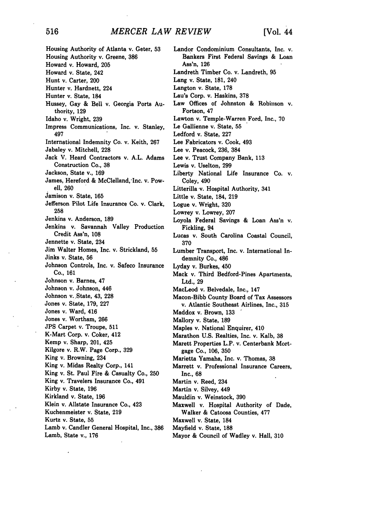Housing Authority of Atlanta v. Geter, **53** Housing Authority v. Greene, **386** Howard v. Howard, 205 Howard v. State, 242 Hunt v. Carter, 200 Hunter v. Hardnett, 224 Hunter v. State, 184 Hussey, Gay & Bell v. Georgia Ports Authority, **129** Idaho v. Wright, 239 Impress Communications, Inc. v. Stanley, 497 International Indemnity Co. v. Keith, 267 Jabaley v. Mitchell, **228** Jack V. Heard Contractors v. **A.L.** Adams Construction Co., 38 Jackson, State v., 169 James, Hereford & McClelland, Inc. v. Powell, 260 Jamison **v.** State, 165 Jefferson Pilot Life Insurance Co. v. Clark, 258 Jenkins v. Anderson, **189** Jenkins v. Savannah Valley Production Credit Ass'n, 108 Jennette v. State, 234 Jim Walter Homes, Inc. v. Strickland, **55** Jinks v. State, **56** Johnson Controls, Inc. v. Safeco Insurance Co., 161 Johnson v. Barnes, 47 Johnson v. Johnson, 446 Johnson v.,State, 43, **228** Jones v. State, 179, **227** Jones v. Ward, 416 Jones v. Wortham, **266** JPS Carpet v. Troupe, 511 K-Mart Corp. v. Coker, 412 Kemp v. Sharp, 201, 425 Kilgore v. R.W. Page Corp., **329** King v. Browning, 234 King v. Midas Realty Corp., 141 King v. St. Paul Fire & Casualty Co., **250** King v. Travelers Insurance Co., 491 Kirby v. State, **196** Kirkland v. State, **196** Klein v. Allstate Insurance Co., 423 Kuchenmeister v. State, **219** Kurtz v. State, **55** Lamb v. Candler General Hospital, Inc., 386 Lamb, State v., 176

Landor Condominium Consultants, Inc. **v.** Bankers First Federal Savings & Loan Ass'n, **126** Landreth Timber Co. v. Landreth, **95** Lang v. State, **181,** 240 Langton v. State, **178** Lau's Corp. v. Haskins, **378** Law Offices of Johnston **&** Robinson v. Fortson, 47 Lawton v. Temple-Warren Ford, Inc., **70 Le** Gallienne v. State, **55** Ledford v. State, **227** Lee Fabricators v. Cook, 493 Lee v. Peacock, **236,** 384 Lee v. Trust Company Bank, **113** Lewis v. Uselton, **299** Liberty National Life Insurance Co. v. Coley, 490 Litterilla v. Hospital Authority, 341 Little v. State, 184, **219** Logue v. Wright, **320** Lowrey v. Lowrey, **207** Loyola Federal Savings & Loan Ass'n v. Fickling, **94** Lucas v. South Carolina Coastal Council, **370** Lumber Transport, Inc. v. International Indemnity Co., 486 Lyday v. Burkes, 450 Mack v. Third Bedford-Pines Apartments, Ltd., **29** MacLeod v. Belvedale, Inc., 147 Macon-Bibb County Board of Tax Assessors v. Atlantic Southeast Airlines, Inc., **315** Maddox v. Brown, **133** Mallory v. State, **189** Maples v. National Enquirer, 410 Marathon U.S. Realties, Inc. v. Kalb, **38** Marett Properties L.P. v. Centerbank Mortgage Co., 106, **350** Marietta Yamaha, Inc. v. Thomas, 38 Marrett v. Professional Insurance Careers, Inc., **68** Martin v. Reed, 234 Martin v. Silvey, 449 Mauldin v. Weinstock, **390** Maxwell v. Hospital Authority of Dade, Walker & Catoosa Counties, **477** Maxwell v. State, 184 Mayfield v. State, **188** Mayor & Council of Wadley v. Hall, 310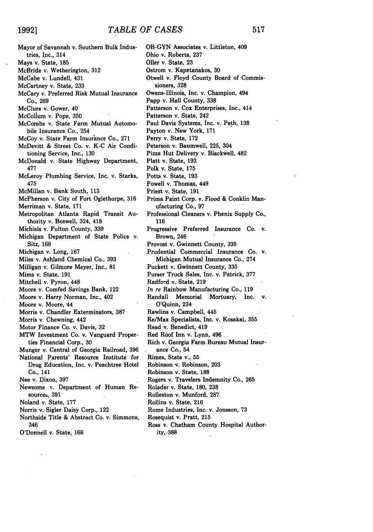| Mayor of Savannah v. Southern Bulk Indus-         |
|---------------------------------------------------|
| tries, Inc., 314                                  |
| Mays v. State, 185                                |
| McBride v. Wetherington, 312                      |
| McCabe v. Lundell, 431                            |
| McCartney v. State, 233                           |
| McCary v. Preferred Risk Mutual Insurance         |
| Co., 269                                          |
| McClure v. Gower, 40                              |
| McCollum v. Pope, 350                             |
| McCombs v. State Farm Mutual Automo-              |
| bile Insurance Co., 254                           |
| McCoy v. State Farm Insurance Co., 271            |
| McDevitt & Street Co. v. K-C Air Condi-           |
|                                                   |
| tioning Service, Inc., 130                        |
| McDonald v. State Highway Department,             |
| 477                                               |
| McLeroy Plumbing Service, Inc. v. Starks,         |
| 475                                               |
| McMillan v. Bank South, 113                       |
| McPherson v. City of Fort Oglethorpe, 316         |
| Merriman v. State, 171                            |
| Metropolitan Atlanta Rapid Transit Au-            |
| thority v. Boswell, 324, 418                      |
| Michiels v. Fulton County, 339                    |
| Michigan Department of State Police v.            |
| Sitz, 168                                         |
| Michigan v. Long, 167                             |
| Miles v. Ashland Chemical Co., 393                |
| Milligan v. Gilmore Meyer, Inc., 81               |
| Mims v. State, 191                                |
| Mitchell v. Pyron, 448                            |
| Moore v. Comfed Savings Bank, 122                 |
| Moore v. Harry Norman, Inc., 402                  |
| Moore v. Moore, 44                                |
| Morris v. Chandler Exterminators, 387             |
| Morris v. Chewning, 442                           |
| Motor Finance Co. v. Davis, 32                    |
| MTW Investment Co. v. Vanguard Proper-            |
| ties Financial Corp., 30.                         |
|                                                   |
| Munger v. Central of Georgia Railroad, 396        |
| National Parents' Resource Institute for          |
| Drug Education, Inc. v. Peachtree Hotel           |
| Co., 141                                          |
| Nee v. Dixon, 397                                 |
| Newsome v. Department of Human Re-                |
| sources, 391                                      |
| Noland v. State, 177                              |
| Norris v. Sigler Daisy Corp., 122                 |
| Northside Title & Abstract Co. v. Simmons,<br>346 |
| O'Donnell v. State, 168                           |
|                                                   |

OB-GYN Associates v. Littleton, 409 Ohio v. Roberts, **237** Oiler v. State, **23** Ostrom v. Kapetanakos, **30** Otwell v. Floyd County Board of Commissioners, **328** Owens-Illinois, Inc. v. Champion, 494 Papp v. Hall County, 338 Patterson v. Cox Enterprises, Inc., 414 Patterson v. State, 242 Paul Davis Systems, Inc. v. Peth, **138** Payton v. New York, **171** Perry v. State, **172** Peterson v. Baumwell, 225, 304 Pizza Hut Delivery v. Blackwell, 482 Platt v. State, **193** Polk v. State, 175 Potts v. State, **193** Powell v. Thomas, 449 Priest v. State, **191** Prima Paint Corp. v. Flood & Conklin Manufacturing Co., **97** Professional Cleaners v. Phenix Supply Co., **116** Progressive Preferred Insurance Co. v. Brown, 246 Provost v. Gwinnett County, **335** Prudential Commercial Insurance Co. v. Michigan Mutual Insurance Co., 274 Puckett **v.** Gwinnett County, **335** Purser Truck Sales, Inc. v. Patrick, **377** Radford v. State, **219** *In re* Rainbow Manufacturing Co., **<sup>119</sup>** Randall Memorial Mortuary, Inc. v. O'Quinn, 234 Rawlins v. Campbell, 445 Re/Max Specialists, Inc. v. Kosakai, **355** Read v. Benedict, 419 Red Roof Inn v. Lynn, 496 Rich v. Georgia Farm Bureau Mutual Insurance Co., 54 Rimes, State v., **55** Robinson v. Robinson, **203** Robinson v. State, **188** Rogers v. Travelers Indemnity Co., **265** Rolader v. State, 180, **238** Rolleston v. Munford, **287** Rollins v. State, **216** Rome Industries, Inc. v. Jonsson, **73** Rosequist v. Pratt, **215** Ross v. Chatham County Hospital Authority, **.388**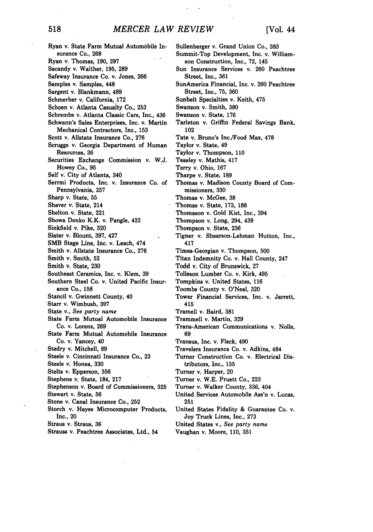Ryan v. State Farm Mutual Automobile Insurance Co., 268 Ryan v. Thomas, 190, **297** Sacandy v. Walther, 195, **289** Safeway Insurance Co. *v.* Jones, **266** Samples v. Samples, 448 Sargent v. Blankmann, 489 Schmerber v. California, **172** Schoen v. Atlanta Casuaity Co., **253** Schrembs v. Atlanta Classic Cars, Inc., 436 Schwann's Sales Enterprises, Inc. v. Martin Mechanical Contractors, Inc., 153 Scott v. Allstate Insurance Co., **276** Scruggs v. Georgia Department of Human Resources, 36 Securities Exchange Commission v. W.J. Howey Co., **95** Self v. City of Atlanta, 340 Serrmi Products, Inc. v. Insurance Co. of Pennsylvania, **257** Sharp v. State, 55 Shaver v. State, 214 Shelton v. State, 221 Showa Denko K.K. v. Pangle, 422 Sinkfield v. Pike, **320** Slater v. Blount, 397, 427 SMB Stage Line, Inc. v. Leach, 474 Smith v. Allstate Insurance Co., **276** Smith v. Smith, **52** Smith v. State, **230** Southeast Ceramics, Inc. v. Klem, 39 Southern Steel Co. v. United Pacific Insurance Co., 158 Stancil v. Gwinnett County, 40 Starr v. Wimbush, **397** State v., *See party name* State Farm Mutual Automobile Insurance Co. v. Lorenz, **269** State Farm Mutual Automobile Insurance Co. v. Yancey, 40 Stedry v. Mitchell, **89** Steele v. Cincinnati Insurance Co., **23** Steele v. Honea, **330** Stelts v. Epperson, **356** Stephens y. State, 184, **217** Stephenson v. Board of Commissioners, **325** Stewart **v.** State, **56** Stone v. Canal Insurance Co., **252** Storch v. Hayes Microcomputer Products, Inc., 20 Straus v. Straus, **36** Strauss v. Peachtree Associates, Ltd., 54 102 417 415 **69** 251

Sullenberger v. Grand Union Co., **383** Summit-Top Development, Inc. v. Williamson Construction, Inc., **72, 145** Sun Insurance Services v. **260** Peachtree Street, Inc., **361** SunAmerica Financial, Inc. v. **260** Peachtree Street, Inc., **75, 360** Sunbelt Specialties v. Keith, 475 Swanson v. Smith, **380** Swanson v. State, 176 Tarleton v. Griffin Federal Savings Bank, Tate v. Bruno's Inc./Food Max, **478** Taylor v. State, 49 Taylor v. Thompson, **110** Teasley v. Mathis, 417 Terry v. Ohio, 167 Tharpe v. State, **189** Thomas v. Madison County Board of Commissioners, **330** Thomas v. McGee, **38** Thomas v. State, **173, 188** Thomason v. Gold Kist, Inc., 394 Thompson v. Long, 294, 439 Thompson v. State, **236** Tigner v. Shearson-Lehman Hutton, Inc., Times-Georgian v. Thompson, **500** Titan Indemnity Co. v. Hall County, 247 Todd v. City of Brunswick, **27** Tolleson Lumber Co. v. Kirk, 495 Tompkins v. United States, **116** Toombs County v. O'Neal, **320** Tower Financial Services, Inc. v. Jarrett, Tramell v. Baird, **381** Trammell v. Martin, **329** Trans-American Communications v. Nolle, Transus, Inc. v. Fleck, 490 Travelers Insurance Co. v. Adkins, 484 Turner Construction Co. v. Electrical Distributors, Inc., **155** Turner v. Harper, 20 Turner v. W.E. Pruett Co., **223** Turner v. Walker County, **336,** 404 United Services Automobile Ass'n v. Lucas, United States Fidelity & Guarantee Co. v. Joy Truck Lines, Inc., **273**

United States v., *See party name*

Vaughan v. Moore, 110, **351**